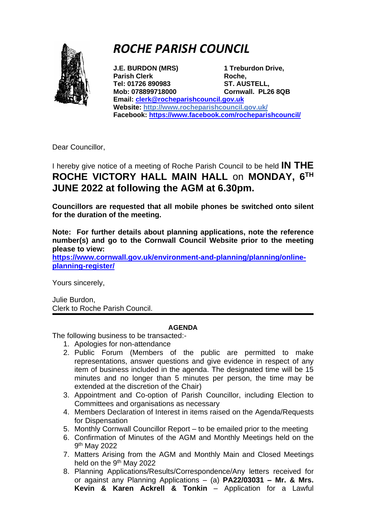

## *ROCHE PARISH COUNCIL*

**J.E. BURDON (MRS) 1 Treburdon Drive, Parish Clerk Roche**, **Tel: 01726 890983 ST. AUSTELL, Mob: 078899718000 Cornwall. PL26 8QB Email: [clerk@rocheparishcouncil.gov.uk](mailto:clerk@rocheparishcouncil.gov.uk) Website:<http://www.rocheparishcouncil.gov.uk/> Facebook:<https://www.facebook.com/rocheparishcouncil/>**

Dear Councillor,

## I hereby give notice of a meeting of Roche Parish Council to be held **IN THE ROCHE VICTORY HALL MAIN HALL** on **MONDAY, 6 TH JUNE 2022 at following the AGM at 6.30pm.**

**Councillors are requested that all mobile phones be switched onto silent for the duration of the meeting.** 

**Note: For further details about planning applications, note the reference number(s) and go to the Cornwall Council Website prior to the meeting please to view:**

**[https://www.cornwall.gov.uk/environment-and-planning/planning/online](https://www.cornwall.gov.uk/environment-and-planning/planning/online-planning-register/)[planning-register/](https://www.cornwall.gov.uk/environment-and-planning/planning/online-planning-register/)** 

Yours sincerely,

Julie Burdon, Clerk to Roche Parish Council.

## **AGENDA**

The following business to be transacted:-

- 1. Apologies for non-attendance
- 2. Public Forum (Members of the public are permitted to make representations, answer questions and give evidence in respect of any item of business included in the agenda. The designated time will be 15 minutes and no longer than 5 minutes per person, the time may be extended at the discretion of the Chair)
- 3. Appointment and Co-option of Parish Councillor, including Election to Committees and organisations as necessary
- 4. Members Declaration of Interest in items raised on the Agenda/Requests for Dispensation
- 5. Monthly Cornwall Councillor Report to be emailed prior to the meeting
- 6. Confirmation of Minutes of the AGM and Monthly Meetings held on the 9<sup>th</sup> May 2022
- 7. Matters Arising from the AGM and Monthly Main and Closed Meetings held on the 9<sup>th</sup> May 2022
- 8. Planning Applications/Results/Correspondence/Any letters received for or against any Planning Applications – (a) **PA22/03031 – Mr. & Mrs. Kevin & Karen Ackrell & Tonkin** – Application for a Lawful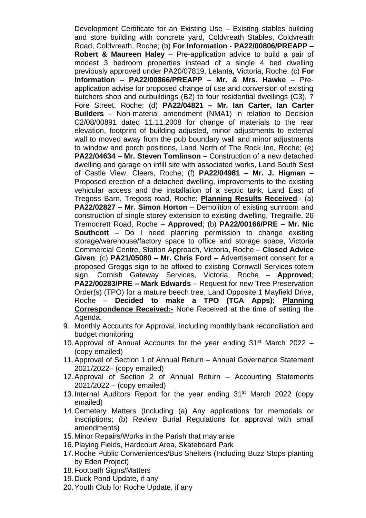Development Certificate for an Existing Use – Existing stables building and store building with concrete yard, Coldvreath Stables, Coldvreath Road, Coldvreath, Roche; (b) **For Information - PA22/00806/PREAPP – Robert & Maureen Haley** – Pre-application advice to build a pair of modest 3 bedroom properties instead of a single 4 bed dwelling previously approved under PA20/07819, Lelanta, Victoria, Roche; (c) **For Information – PA22/00866/PREAPP – Mr. & Mrs. Hawke** – Preapplication advise for proposed change of use and conversion of existing butchers shop and outbuildings (B2) to four residential dwellings (C3), 7 Fore Street, Roche; (d) **PA22/04821 – Mr. Ian Carter, Ian Carter Builders** – Non-material amendment (NMA1) in relation to Decision C2/08/00891 dated 11.11.2008 for change of materials to the rear elevation, footprint of building adjusted, minor adjustments to external wall to moved away from the pub boundary wall and minor adjustments to window and porch positions, Land North of The Rock Inn, Roche; (e) **PA22/04634 – Mr. Steven Tomlinson** – Construction of a new detached dwelling and garage on infill site with associated works, Land South Sest of Castle View, Cleers, Roche; (f) **PA22/04981 – Mr. J. Higman** – Proposed erection of a detached dwelling, improvements to the existing vehicular access and the installation of a septic tank, Land East of Tregoss Barn, Tregoss road, Roche; **Planning Results Received**:- (a) **PA22/02827 – Mr. Simon Horton** – Demolition of existing sunroom and construction of single storey extension to existing dwelling, Tregraille, 26 Tremodrett Road, Roche – **Approved**; (b) **PA22/00166/PRE – Mr. Nic Southcott** – Do I need planning permission to change existing storage/warehouse/factory space to office and storage space. Victoria Commercial Centre, Station Approach, Victoria, Roche – **Closed Advice Given**; (c) **PA21/05080 – Mr. Chris Ford** – Advertisement consent for a proposed Greggs sign to be affixed to existing Cornwall Services totem sign, Cornish Gateway Services, Victoria, Roche – **Approved**; **PA22/00283/PRE – Mark Edwards** – Request for new Tree Preservation Order(s) (TPO) for a mature beech tree, Land Opposite 1 Mayfield Drive, Roche – **Decided to make a TPO (TCA Apps); Planning Correspondence Received:-** None Received at the time of setting the Agenda.

- 9. Monthly Accounts for Approval, including monthly bank reconciliation and budget monitoring
- 10. Approval of Annual Accounts for the year ending  $31<sup>st</sup>$  March 2022 (copy emailed)
- 11.Approval of Section 1 of Annual Return Annual Governance Statement 2021/2022– (copy emailed)
- 12.Approval of Section 2 of Annual Return Accounting Statements 2021/2022 – (copy emailed)
- 13.Internal Auditors Report for the year ending 31st March 2022 (copy emailed)
- 14.Cemetery Matters (Including (a) Any applications for memorials or inscriptions; (b) Review Burial Regulations for approval with small amendments)
- 15.Minor Repairs/Works in the Parish that may arise
- 16.Playing Fields, Hardcourt Area, Skateboard Park
- 17.Roche Public Conveniences/Bus Shelters (Including Buzz Stops planting by Eden Project)
- 18.Footpath Signs/Matters
- 19.Duck Pond Update, if any
- 20.Youth Club for Roche Update, if any